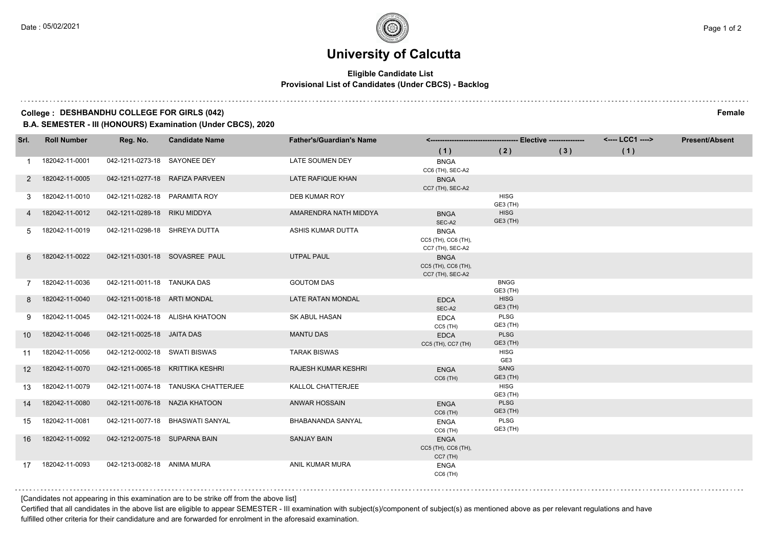# **University of Calcutta**

### **Eligible Candidate List Provisional List of Candidates (Under CBCS) - Backlog**

#### **College : DESHBANDHU COLLEGE FOR GIRLS (042) Female**

**B.A. SEMESTER - III (HONOURS) Examination (Under CBCS), 2020**

| Srl.              | <b>Roll Number</b> | Reg. No.                       | <b>Candidate Name</b>               | <b>Father's/Guardian's Name</b> |                                                        |                         |     | <---- LCC1 ----> | <b>Present/Absent</b> |
|-------------------|--------------------|--------------------------------|-------------------------------------|---------------------------------|--------------------------------------------------------|-------------------------|-----|------------------|-----------------------|
|                   |                    |                                |                                     |                                 | (1)                                                    | (2)                     | (3) | (1)              |                       |
|                   | 182042-11-0001     | 042-1211-0273-18 SAYONEE DEY   |                                     | LATE SOUMEN DEY                 | <b>BNGA</b><br>CC6 (TH), SEC-A2                        |                         |     |                  |                       |
| 2                 | 182042-11-0005     |                                | 042-1211-0277-18 RAFIZA PARVEEN     | LATE RAFIQUE KHAN               | <b>BNGA</b><br>CC7 (TH), SEC-A2                        |                         |     |                  |                       |
| 3                 | 182042-11-0010     | 042-1211-0282-18 PARAMITA ROY  |                                     | DEB KUMAR ROY                   |                                                        | <b>HISG</b><br>GE3 (TH) |     |                  |                       |
| 4                 | 182042-11-0012     | 042-1211-0289-18 RIKU MIDDYA   |                                     | AMARENDRA NATH MIDDYA           | <b>BNGA</b><br>SEC-A2                                  | <b>HISG</b><br>GE3 (TH) |     |                  |                       |
| 5                 | 182042-11-0019     | 042-1211-0298-18 SHREYA DUTTA  |                                     | ASHIS KUMAR DUTTA               | <b>BNGA</b><br>CC5 (TH), CC6 (TH),<br>CC7 (TH), SEC-A2 |                         |     |                  |                       |
| 6                 | 182042-11-0022     |                                | 042-1211-0301-18 SOVASREE PAUL      | <b>UTPAL PAUL</b>               | <b>BNGA</b><br>CC5 (TH), CC6 (TH),<br>CC7 (TH), SEC-A2 |                         |     |                  |                       |
|                   | 182042-11-0036     | 042-1211-0011-18 TANUKA DAS    |                                     | <b>GOUTOM DAS</b>               |                                                        | <b>BNGG</b><br>GE3 (TH) |     |                  |                       |
| 8                 | 182042-11-0040     | 042-1211-0018-18 ARTI MONDAL   |                                     | LATE RATAN MONDAL               | <b>EDCA</b><br>SEC-A2                                  | <b>HISG</b><br>GE3 (TH) |     |                  |                       |
| 9                 | 182042-11-0045     |                                | 042-1211-0024-18 ALISHA KHATOON     | SK ABUL HASAN                   | <b>EDCA</b><br>$CC5$ (TH)                              | PLSG<br>GE3 (TH)        |     |                  |                       |
| 10                | 182042-11-0046     | 042-1211-0025-18 JAITA DAS     |                                     | <b>MANTU DAS</b>                | <b>EDCA</b><br>CC5 (TH), CC7 (TH)                      | <b>PLSG</b><br>GE3 (TH) |     |                  |                       |
| 11                | 182042-11-0056     | 042-1212-0002-18 SWATI BISWAS  |                                     | <b>TARAK BISWAS</b>             |                                                        | <b>HISG</b><br>GE3      |     |                  |                       |
| $12 \overline{ }$ | 182042-11-0070     |                                | 042-1211-0065-18 KRITTIKA KESHRI    | <b>RAJESH KUMAR KESHRI</b>      | <b>ENGA</b><br>$CC6$ (TH)                              | SANG<br>GE3 (TH)        |     |                  |                       |
| 13                | 182042-11-0079     |                                | 042-1211-0074-18 TANUSKA CHATTERJEE | KALLOL CHATTERJEE               |                                                        | <b>HISG</b><br>GE3 (TH) |     |                  |                       |
| 14                | 182042-11-0080     | 042-1211-0076-18 NAZIA KHATOON |                                     | <b>ANWAR HOSSAIN</b>            | <b>ENGA</b><br>$CC6$ (TH)                              | <b>PLSG</b><br>GE3 (TH) |     |                  |                       |
| 15                | 182042-11-0081     |                                | 042-1211-0077-18 BHASWATI SANYAL    | BHABANANDA SANYAL               | <b>ENGA</b><br>$CC6$ (TH)                              | PLSG<br>GE3 (TH)        |     |                  |                       |
| 16                | 182042-11-0092     | 042-1212-0075-18 SUPARNA BAIN  |                                     | <b>SANJAY BAIN</b>              | <b>ENGA</b><br>CC5 (TH), CC6 (TH),<br>CC7 (TH)         |                         |     |                  |                       |
| 17                | 182042-11-0093     | 042-1213-0082-18 ANIMA MURA    |                                     | ANIL KUMAR MURA                 | <b>ENGA</b><br>$CC6$ (TH)                              |                         |     |                  |                       |

[Candidates not appearing in this examination are to be strike off from the above list]

Certified that all candidates in the above list are eligible to appear SEMESTER - III examination with subject(s)/component of subject(s) as mentioned above as per relevant regulations and have fulfilled other criteria for their candidature and are forwarded for enrolment in the aforesaid examination.